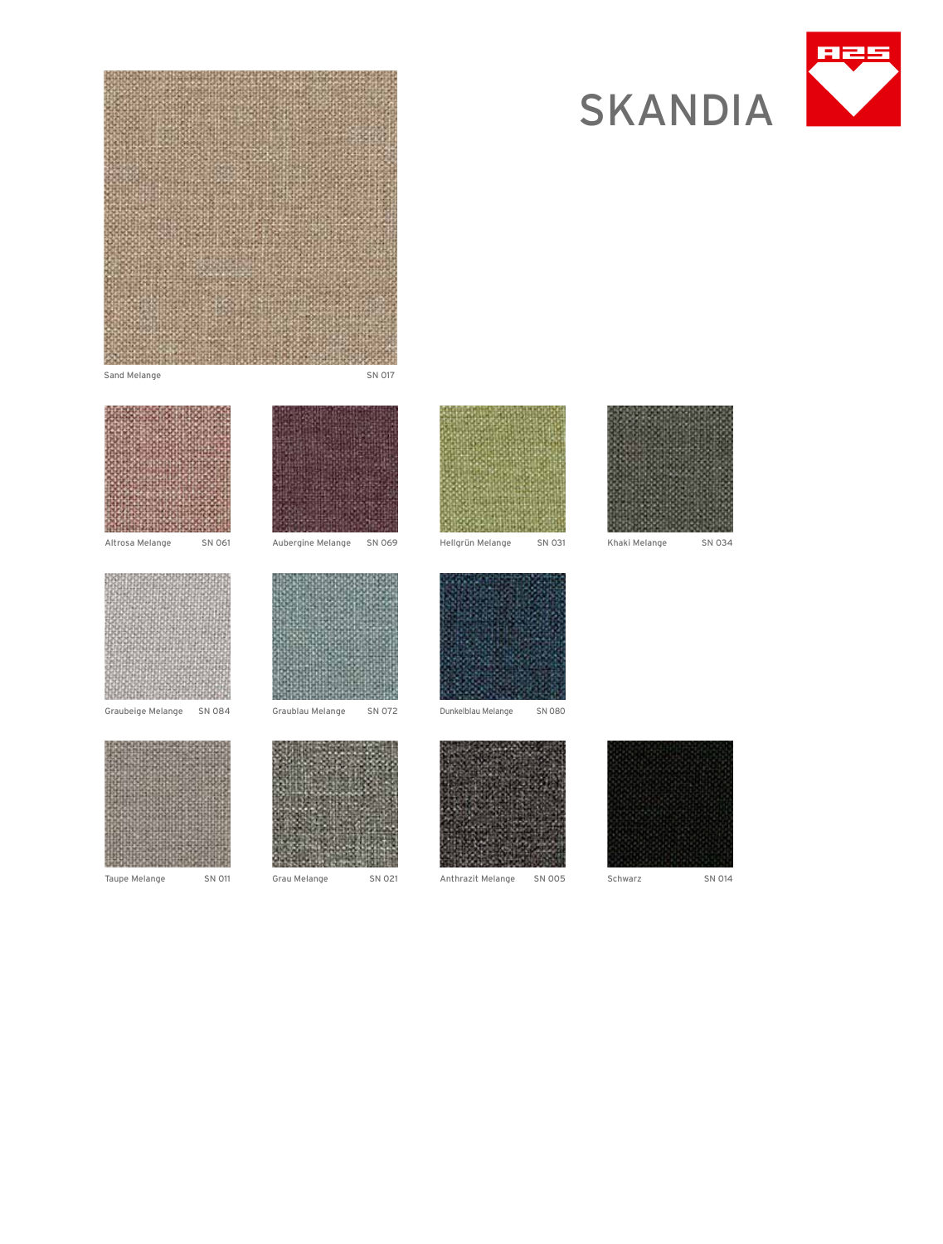







Graubeige Melange SN 084



Taupe Melange SN 011 Grau Melange SN 021



Graublau Melange SN 072



Hellgrün Melange SN 031



Anthrazit Melange SN 005 Schwarz SN 014